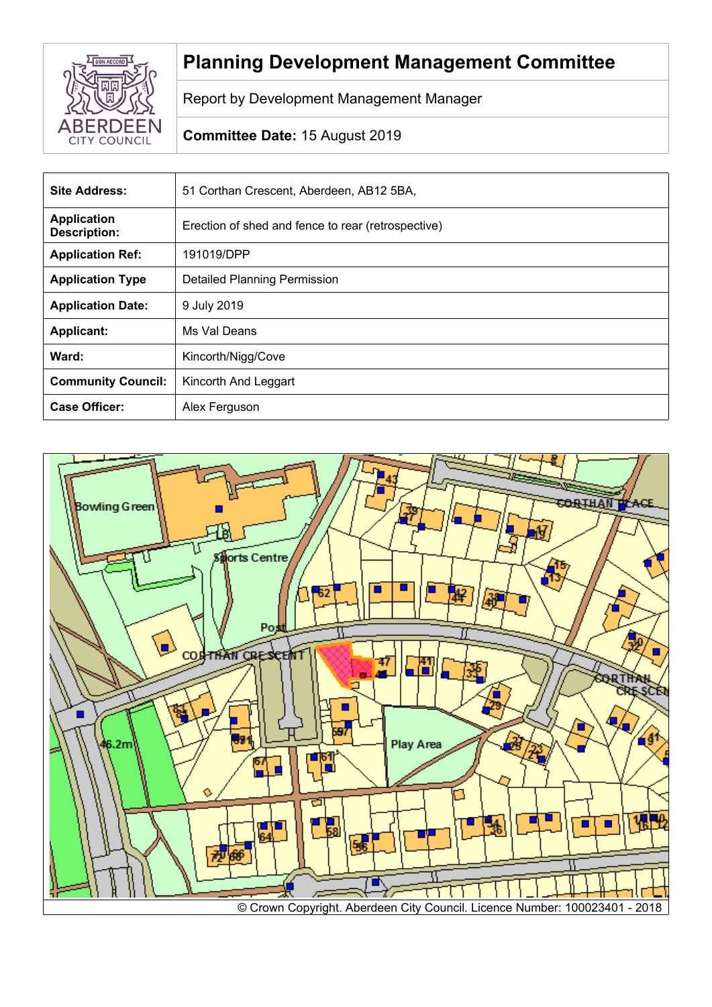

# **Planning Development Management Committee**

Report by Development Management Manager

## **Committee Date:** 15 August 2019

| <b>Site Address:</b>                      | 51 Corthan Crescent, Aberdeen, AB12 5BA,           |
|-------------------------------------------|----------------------------------------------------|
| <b>Application</b><br><b>Description:</b> | Erection of shed and fence to rear (retrospective) |
| <b>Application Ref:</b>                   | 191019/DPP                                         |
| <b>Application Type</b>                   | <b>Detailed Planning Permission</b>                |
| <b>Application Date:</b>                  | 9 July 2019                                        |
| <b>Applicant:</b>                         | Ms Val Deans                                       |
| Ward:                                     | Kincorth/Nigg/Cove                                 |
| <b>Community Council:</b>                 | Kincorth And Leggart                               |
| <b>Case Officer:</b>                      | Alex Ferguson                                      |

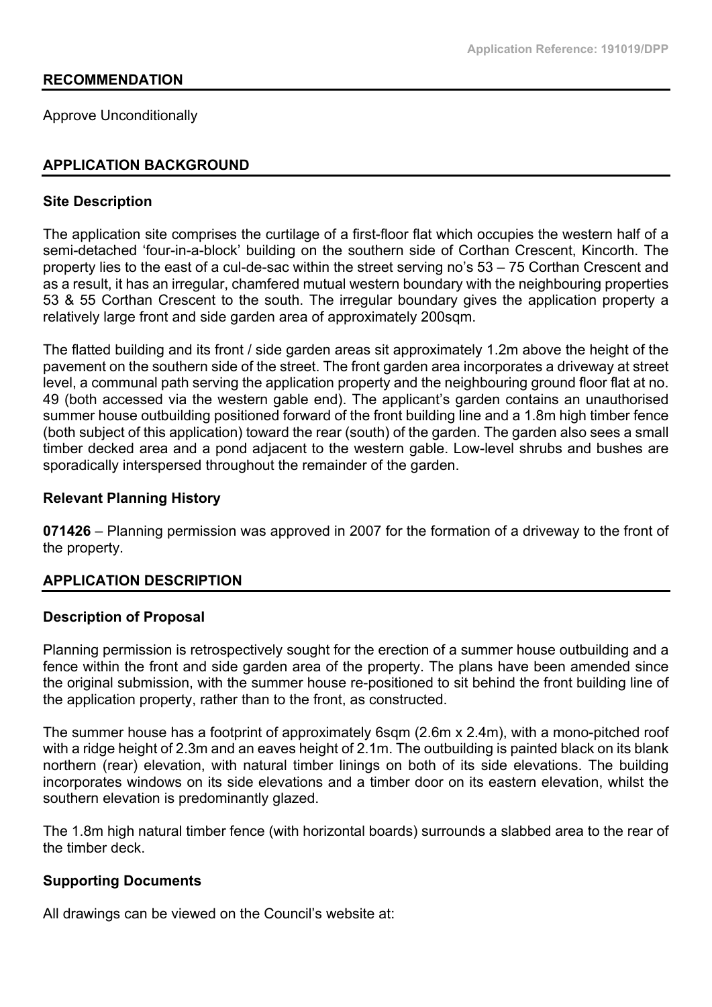#### **RECOMMENDATION**

Approve Unconditionally

## **APPLICATION BACKGROUND**

#### **Site Description**

The application site comprises the curtilage of a first-floor flat which occupies the western half of a semi-detached 'four-in-a-block' building on the southern side of Corthan Crescent, Kincorth. The property lies to the east of a cul-de-sac within the street serving no's 53 – 75 Corthan Crescent and as a result, it has an irregular, chamfered mutual western boundary with the neighbouring properties 53 & 55 Corthan Crescent to the south. The irregular boundary gives the application property a relatively large front and side garden area of approximately 200sqm.

The flatted building and its front / side garden areas sit approximately 1.2m above the height of the pavement on the southern side of the street. The front garden area incorporates a driveway at street level, a communal path serving the application property and the neighbouring ground floor flat at no. 49 (both accessed via the western gable end). The applicant's garden contains an unauthorised summer house outbuilding positioned forward of the front building line and a 1.8m high timber fence (both subject of this application) toward the rear (south) of the garden. The garden also sees a small timber decked area and a pond adjacent to the western gable. Low-level shrubs and bushes are sporadically interspersed throughout the remainder of the garden.

## **Relevant Planning History**

**071426** – Planning permission was approved in 2007 for the formation of a driveway to the front of the property.

## **APPLICATION DESCRIPTION**

#### **Description of Proposal**

Planning permission is retrospectively sought for the erection of a summer house outbuilding and a fence within the front and side garden area of the property. The plans have been amended since the original submission, with the summer house re-positioned to sit behind the front building line of the application property, rather than to the front, as constructed.

The summer house has a footprint of approximately 6sqm (2.6m x 2.4m), with a mono-pitched roof with a ridge height of 2.3m and an eaves height of 2.1m. The outbuilding is painted black on its blank northern (rear) elevation, with natural timber linings on both of its side elevations. The building incorporates windows on its side elevations and a timber door on its eastern elevation, whilst the southern elevation is predominantly glazed.

The 1.8m high natural timber fence (with horizontal boards) surrounds a slabbed area to the rear of the timber deck.

## **Supporting Documents**

All drawings can be viewed on the Council's website at: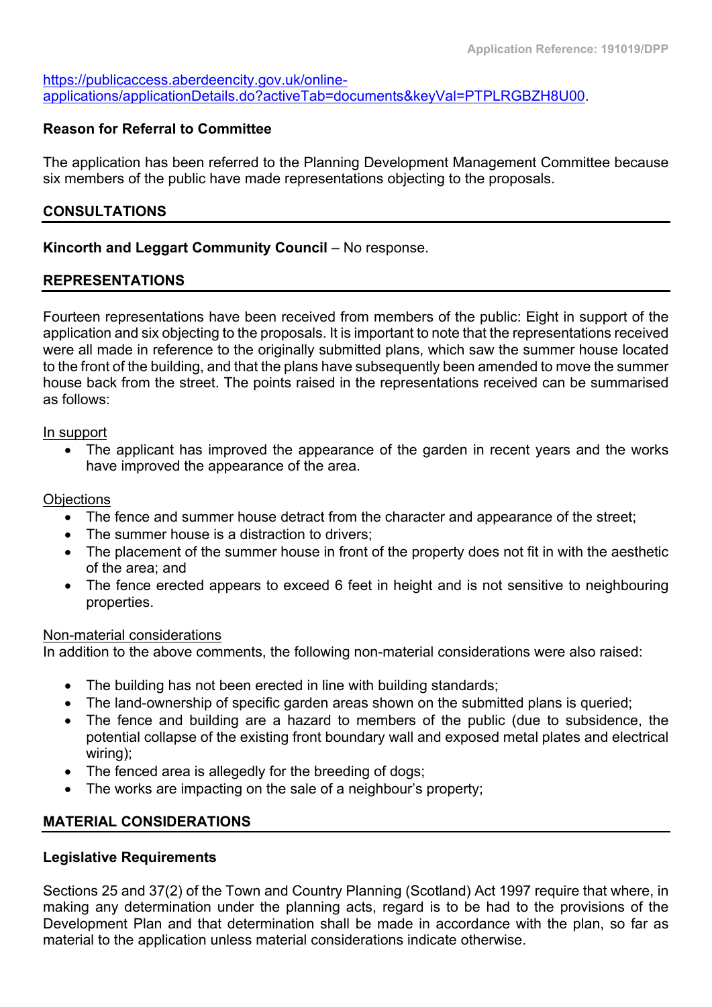[https://publicaccess.aberdeencity.gov.uk/online](https://publicaccess.aberdeencity.gov.uk/online-applications/applicationDetails.do?activeTab=documents&keyVal=PTPLRGBZH8U00)[applications/applicationDetails.do?activeTab=documents&keyVal=PTPLRGBZH8U00.](https://publicaccess.aberdeencity.gov.uk/online-applications/applicationDetails.do?activeTab=documents&keyVal=PTPLRGBZH8U00)

## **Reason for Referral to Committee**

The application has been referred to the Planning Development Management Committee because six members of the public have made representations objecting to the proposals.

## **CONSULTATIONS**

## **Kincorth and Leggart Community Council** – No response.

#### **REPRESENTATIONS**

Fourteen representations have been received from members of the public: Eight in support of the application and six objecting to the proposals. It is important to note that the representations received were all made in reference to the originally submitted plans, which saw the summer house located to the front of the building, and that the plans have subsequently been amended to move the summer house back from the street. The points raised in the representations received can be summarised as follows:

#### In support

• The applicant has improved the appearance of the garden in recent years and the works have improved the appearance of the area.

#### **Objections**

- The fence and summer house detract from the character and appearance of the street;
- The summer house is a distraction to drivers:
- The placement of the summer house in front of the property does not fit in with the aesthetic of the area; and
- The fence erected appears to exceed 6 feet in height and is not sensitive to neighbouring properties.

#### Non-material considerations

In addition to the above comments, the following non-material considerations were also raised:

- The building has not been erected in line with building standards;
- The land-ownership of specific garden areas shown on the submitted plans is queried;
- The fence and building are a hazard to members of the public (due to subsidence, the potential collapse of the existing front boundary wall and exposed metal plates and electrical wiring);
- The fenced area is allegedly for the breeding of dogs:
- The works are impacting on the sale of a neighbour's property;

## **MATERIAL CONSIDERATIONS**

## **Legislative Requirements**

Sections 25 and 37(2) of the Town and Country Planning (Scotland) Act 1997 require that where, in making any determination under the planning acts, regard is to be had to the provisions of the Development Plan and that determination shall be made in accordance with the plan, so far as material to the application unless material considerations indicate otherwise.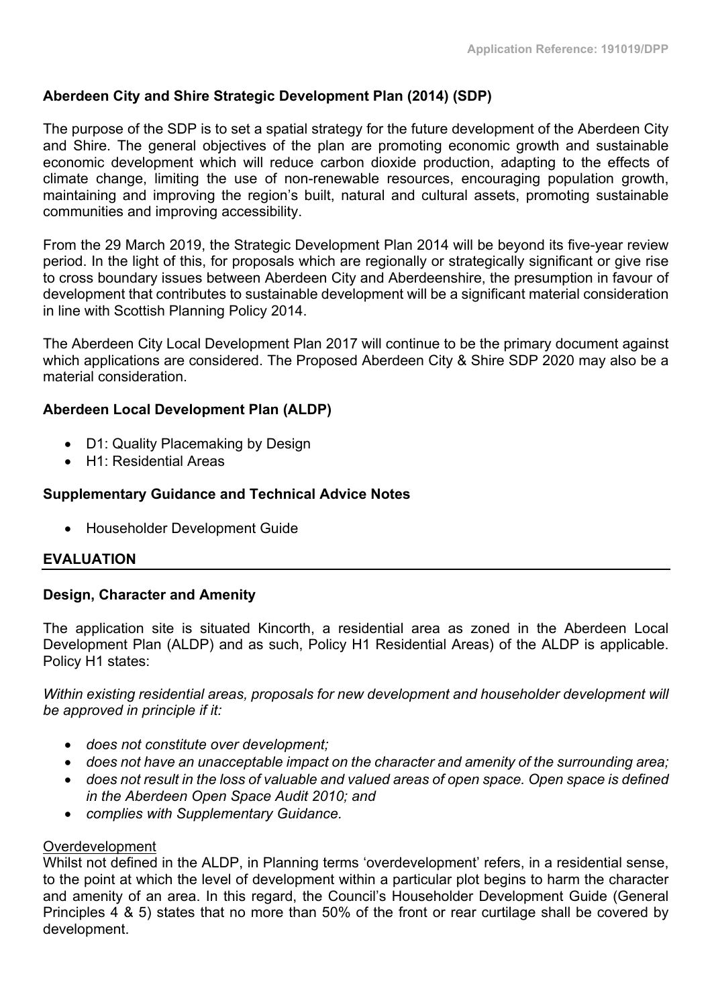## **Aberdeen City and Shire Strategic Development Plan (2014) (SDP)**

The purpose of the SDP is to set a spatial strategy for the future development of the Aberdeen City and Shire. The general objectives of the plan are promoting economic growth and sustainable economic development which will reduce carbon dioxide production, adapting to the effects of climate change, limiting the use of non-renewable resources, encouraging population growth, maintaining and improving the region's built, natural and cultural assets, promoting sustainable communities and improving accessibility.

From the 29 March 2019, the Strategic Development Plan 2014 will be beyond its five-year review period. In the light of this, for proposals which are regionally or strategically significant or give rise to cross boundary issues between Aberdeen City and Aberdeenshire, the presumption in favour of development that contributes to sustainable development will be a significant material consideration in line with Scottish Planning Policy 2014.

The Aberdeen City Local Development Plan 2017 will continue to be the primary document against which applications are considered. The Proposed Aberdeen City & Shire SDP 2020 may also be a material consideration.

## **Aberdeen Local Development Plan (ALDP)**

- D1: Quality Placemaking by Design
- H1: Residential Areas

## **Supplementary Guidance and Technical Advice Notes**

Householder Development Guide

## **EVALUATION**

## **Design, Character and Amenity**

The application site is situated Kincorth, a residential area as zoned in the Aberdeen Local Development Plan (ALDP) and as such, Policy H1 Residential Areas) of the ALDP is applicable. Policy H1 states:

*Within existing residential areas, proposals for new development and householder development will be approved in principle if it:*

- *does not constitute over development;*
- *does not have an unacceptable impact on the character and amenity of the surrounding area;*
- *does not result in the loss of valuable and valued areas of open space. Open space is defined in the Aberdeen Open Space Audit 2010; and*
- *complies with Supplementary Guidance.*

## Overdevelopment

Whilst not defined in the ALDP, in Planning terms 'overdevelopment' refers, in a residential sense, to the point at which the level of development within a particular plot begins to harm the character and amenity of an area. In this regard, the Council's Householder Development Guide (General Principles 4 & 5) states that no more than 50% of the front or rear curtilage shall be covered by development.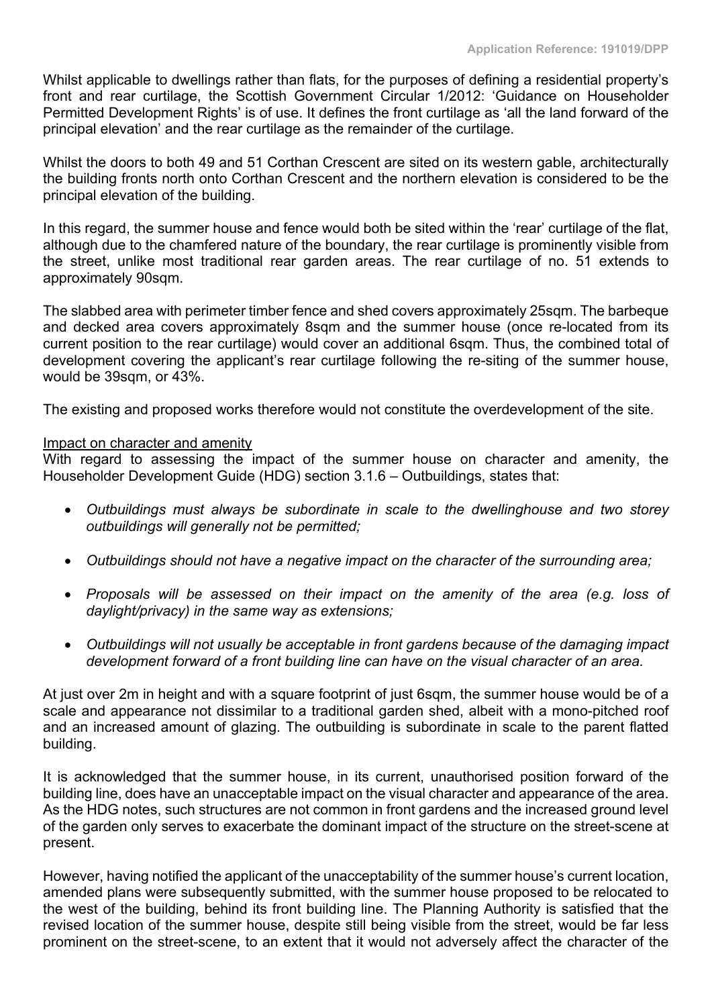Whilst applicable to dwellings rather than flats, for the purposes of defining a residential property's front and rear curtilage, the Scottish Government Circular 1/2012: 'Guidance on Householder Permitted Development Rights' is of use. It defines the front curtilage as 'all the land forward of the principal elevation' and the rear curtilage as the remainder of the curtilage.

Whilst the doors to both 49 and 51 Corthan Crescent are sited on its western gable, architecturally the building fronts north onto Corthan Crescent and the northern elevation is considered to be the principal elevation of the building.

In this regard, the summer house and fence would both be sited within the 'rear' curtilage of the flat, although due to the chamfered nature of the boundary, the rear curtilage is prominently visible from the street, unlike most traditional rear garden areas. The rear curtilage of no. 51 extends to approximately 90sqm.

The slabbed area with perimeter timber fence and shed covers approximately 25sqm. The barbeque and decked area covers approximately 8sqm and the summer house (once re-located from its current position to the rear curtilage) would cover an additional 6sqm. Thus, the combined total of development covering the applicant's rear curtilage following the re-siting of the summer house, would be 39sqm, or 43%.

The existing and proposed works therefore would not constitute the overdevelopment of the site.

#### Impact on character and amenity

With regard to assessing the impact of the summer house on character and amenity, the Householder Development Guide (HDG) section 3.1.6 – Outbuildings, states that:

- *Outbuildings must always be subordinate in scale to the dwellinghouse and two storey outbuildings will generally not be permitted;*
- *Outbuildings should not have a negative impact on the character of the surrounding area;*
- *Proposals will be assessed on their impact on the amenity of the area (e.g. loss of daylight/privacy) in the same way as extensions;*
- *Outbuildings will not usually be acceptable in front gardens because of the damaging impact development forward of a front building line can have on the visual character of an area.*

At just over 2m in height and with a square footprint of just 6sqm, the summer house would be of a scale and appearance not dissimilar to a traditional garden shed, albeit with a mono-pitched roof and an increased amount of glazing. The outbuilding is subordinate in scale to the parent flatted building.

It is acknowledged that the summer house, in its current, unauthorised position forward of the building line, does have an unacceptable impact on the visual character and appearance of the area. As the HDG notes, such structures are not common in front gardens and the increased ground level of the garden only serves to exacerbate the dominant impact of the structure on the street-scene at present.

However, having notified the applicant of the unacceptability of the summer house's current location, amended plans were subsequently submitted, with the summer house proposed to be relocated to the west of the building, behind its front building line. The Planning Authority is satisfied that the revised location of the summer house, despite still being visible from the street, would be far less prominent on the street-scene, to an extent that it would not adversely affect the character of the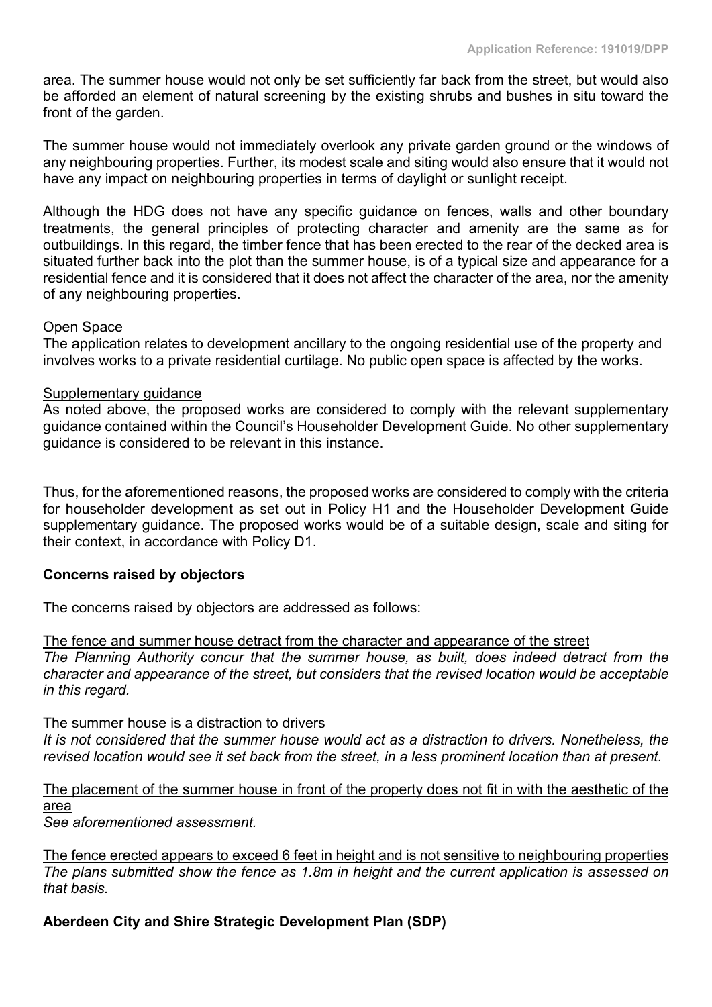area. The summer house would not only be set sufficiently far back from the street, but would also be afforded an element of natural screening by the existing shrubs and bushes in situ toward the front of the garden.

The summer house would not immediately overlook any private garden ground or the windows of any neighbouring properties. Further, its modest scale and siting would also ensure that it would not have any impact on neighbouring properties in terms of daylight or sunlight receipt.

Although the HDG does not have any specific guidance on fences, walls and other boundary treatments, the general principles of protecting character and amenity are the same as for outbuildings. In this regard, the timber fence that has been erected to the rear of the decked area is situated further back into the plot than the summer house, is of a typical size and appearance for a residential fence and it is considered that it does not affect the character of the area, nor the amenity of any neighbouring properties.

#### Open Space

The application relates to development ancillary to the ongoing residential use of the property and involves works to a private residential curtilage. No public open space is affected by the works.

#### Supplementary guidance

As noted above, the proposed works are considered to comply with the relevant supplementary guidance contained within the Council's Householder Development Guide. No other supplementary guidance is considered to be relevant in this instance.

Thus, for the aforementioned reasons, the proposed works are considered to comply with the criteria for householder development as set out in Policy H1 and the Householder Development Guide supplementary guidance. The proposed works would be of a suitable design, scale and siting for their context, in accordance with Policy D1.

## **Concerns raised by objectors**

The concerns raised by objectors are addressed as follows:

#### The fence and summer house detract from the character and appearance of the street

*The Planning Authority concur that the summer house, as built, does indeed detract from the character and appearance of the street, but considers that the revised location would be acceptable in this regard.*

#### The summer house is a distraction to drivers

*It is not considered that the summer house would act as a distraction to drivers. Nonetheless, the* revised location would see it set back from the street, in a less prominent location than at present.

## The placement of the summer house in front of the property does not fit in with the aesthetic of the area

*See aforementioned assessment.*

The fence erected appears to exceed 6 feet in height and is not sensitive to neighbouring properties *The plans submitted show the fence as 1.8m in height and the current application is assessed on that basis.*

## **Aberdeen City and Shire Strategic Development Plan (SDP)**